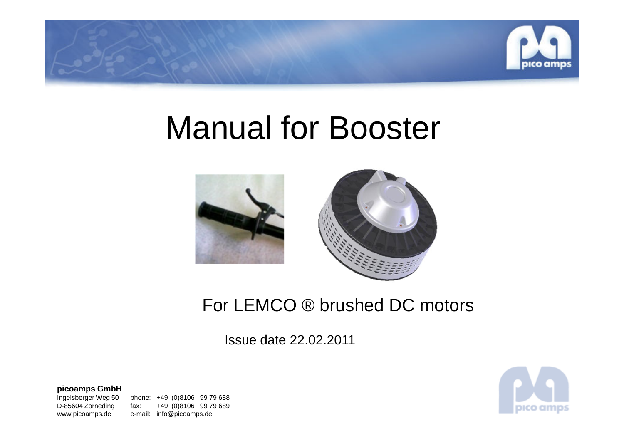

# Manual for Booster



# For LEMCO ® brushed DC motors

Issue date 22.02.2011

**picoamps GmbH**

Ingelsberger Weg 50

Ingelsberger Weg 50 phone: +49 (0)8106 99 79 688<br>D-85604 Zorneding fax: +49 (0)8106 99 79 689 D-85604 Zorneding fax: +49 (0)8106 99 79 689www.picoamps.de e-mail: info@picoamps.de

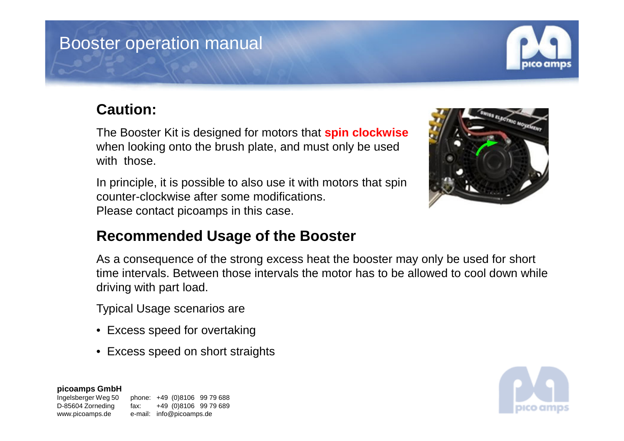### Booster operation manual

#### **Caution:**

The Booster Kit is designed for motors that **spin clockwise**when looking onto the brush plate, and must only be used with those.

In principle, it is possible to also use it with motors that spin counter-clockwise after some modifications. Please contact picoamps in this case.



#### **Recommended Usage of the Booster**

As a consequence of the strong excess heat the booster may only be used for short time intervals. Between those intervals the motor has to be allowed to cool down while driving with part load.

Typical Usage scenarios are

- Excess speed for overtaking
- Excess speed on short straights

**picoamps GmbH**

Ingelsberger Weg 50



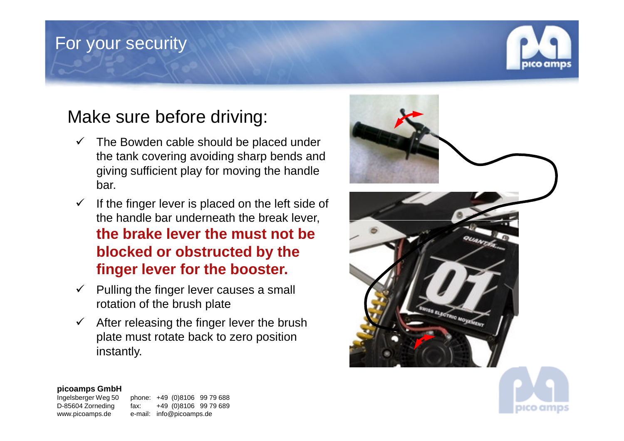### For your security



# Make sure before driving:

- $\checkmark$  The Bowden cable should be placed under<br>the tapk covaring ovaiding above bands and the tank covering avoiding sharp bends and giving sufficient play for moving the handle bar.
- $\checkmark$  If the finger lever is placed on the left side of the handle bar underneath the break lever,**the brake lever the must not be blocked or obstructed by the finger lever for the booster.**
- $\checkmark$  Pulling the finger lever causes a small relation of the brush plote. rotation of the brush plate
- $\checkmark$  After releasing the finger lever the brush<br>plate must ratate heak to zero position plate must rotate back to zero position instantly.



#### **picoamps GmbH**

Ingelsberger Weg 50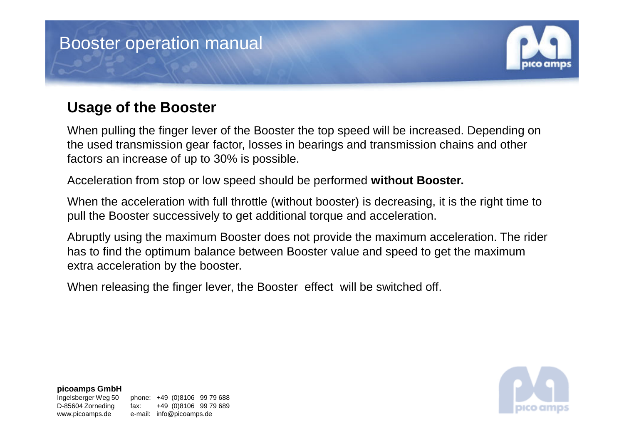# Booster operation manual

### **Usage of the Booster**

When pulling the finger lever of the Booster the top speed will be increased. Depending on the used transmission gear factor, losses in bearings and transmission chains and other factors an increase of up to 30% is possible.

Acceleration from stop or low speed should be performed **without Booster.** 

When the acceleration with full throttle (without booster) is decreasing, it is the right time to pull the Booster successively to get additional torque and acceleration.

Abruptly using the maximum Booster does not provide the maximum acceleration. The rider has to find the optimum balance between Booster value and speed to get the maximum extra acceleration by the booster.

When releasing the finger lever, the Booster effect will be switched off.



#### **picoamps GmbH**

Ingelsberger Weg 50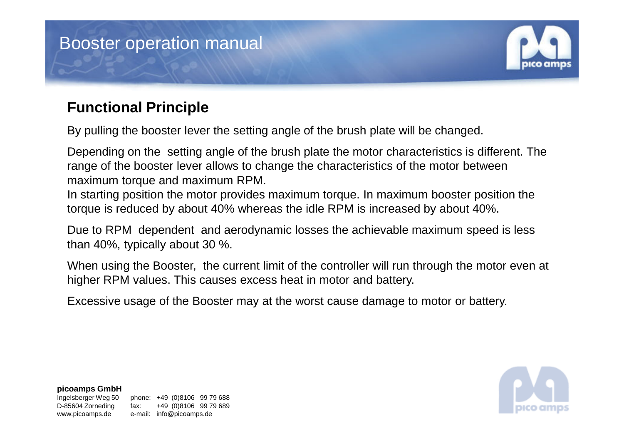### Booster operation manual

#### **Functional Principle**

By pulling the booster lever the setting angle of the brush plate will be changed.

Depending on the setting angle of the brush plate the motor characteristics is different. The range of the booster lever allows to change the characteristics of the motor between maximum torque and maximum RPM.

In starting position the motor provides maximum torque. In maximum booster position the torque is reduced by about 40% whereas the idle RPM is increased by about 40%.

Due to RPM dependent and aerodynamic losses the achievable maximum speed is less than 40%, typically about 30 %.

When using the Booster, the current limit of the controller will run through the motor even at higher RPM values. This causes excess heat in motor and battery.

Excessive usage of the Booster may at the worst cause damage to motor or battery.



#### **picoamps GmbH**

Ingelsberger Weg 50